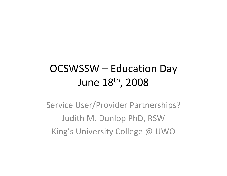### OCSWSSW – Education Day June 18th, 2008

Service User/Provider Partnerships? Judith M. Dunlop PhD, RSW King's University College @ UWO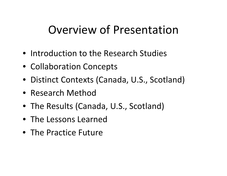## Overview of Presentation

- Introduction to the Research Studies
- Collaboration Concepts
- Distinct Contexts (Canada, U.S., Scotland)
- Research Method
- The Results (Canada, U.S., Scotland)
- The Lessons Learned
- The Practice Future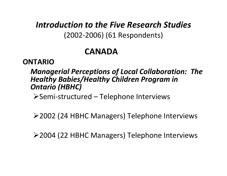*Introduction to the Five Research Studies* (2002‐2006) (61 Respondents)

### **CANADA**

#### **ONTARIO**

#### *Managerial Perceptions of Local Collaboration: The Healthy Babies/Healthy Children Program in Ontario (HBHC)*

¾Semi‐structured – Telephone Interviews

¾2002 (24 HBHC Managers) Telephone Interviews

¾2004 (22 HBHC Managers) Telephone Interviews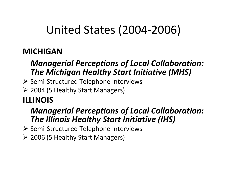# United States (2004‐2006)

### **MICHIGAN**

### *Managerial Perceptions of Local Collaboration: The Michigan Healthy Start Initiative (MHS)*

- ¾ Semi‐Structured Telephone Interviews
- ¾ 2004 (5 Healthy Start Managers)

### **ILLINOIS**

### *Managerial Perceptions of Local Collaboration: The Illinois Healthy Start Initiative (IHS)*

- ¾ Semi‐Structured Telephone Interviews
- ¾ 2006 (5 Healthy Start Managers)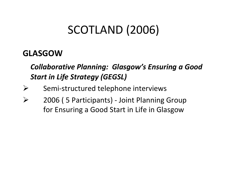# SCOTLAND (2006)

### **GLASGOW**

### *Collaborative Planning: Glasgow's Ensuring <sup>a</sup> Good Start in Life Strategy (GEGSL)*

- ¾Semi‐structured telephone interviews
- ¾ 2006 ( 5 Participants) ‐ Joint Planning Group for Ensuring <sup>a</sup> Good Start in Life in Glasgow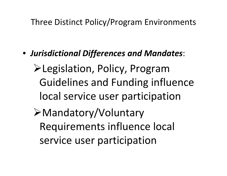### Three Distinct Policy/Program Environments

• *Jurisdictional Differences and Mandates*:

¾Legislation, Policy, Program Guidelines and Funding influence local service user participation

¾Mandatory/Voluntary Requirements influence local service user participation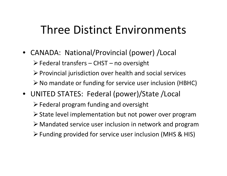## Three Distinct Environments

• CANADA: National/Provincial (power) /Local

¾Federal transfers – CHST – no oversight

 $\triangleright$  Provincial jurisdiction over health and social services

- ¾No mandate or funding for service user inclusion (HBHC)
- UNITED STATES: Federal (power)/State /Local

 $\triangleright$  Federal program funding and oversight

- ¾State level implementation but not power over program
- ¾ Mandated service user inclusion in network and program
- ¾Funding provided for service user inclusion (MHS & HIS)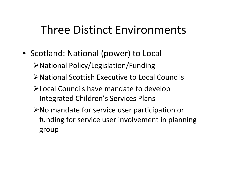## Three Distinct Environments

• Scotland: National (power) to Local

¾National Policy/Legislation/Funding

- ¾National Scottish Executive to Local Councils
- ¾Local Councils have mandate to develop Integrated Children's Services Plans
- ¾No mandate for service user participation or funding for service user involvement in planning group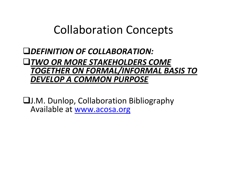### Collaboration Concepts

*DEFINITION OF COLLABORATION:*

#### *TWO OR MORE STAKEHOLDERS COME TOGETHER ON FORMAL/INFORMAL BASIS TO DEVELOP A COMMON PURPOSE*

J.M. Dunlop, Collaboration Bibliography Available at [www.acosa.org](http://www.acosa.org/)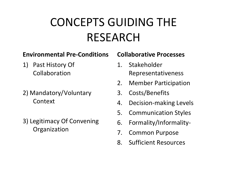# CONCEPTS GUIDING THE RESEARCH

#### **Environmental Pre‐Conditions**

- 1) Past History Of Collaboration
- 2) Mandatory/Voluntary Context
- 3) Legitimacy Of Convening **Organization**

#### **Collaborative Processes**

- 1. StakeholderRepresentativeness
- 2.Member Participation
- 3.Costs/Benefits
- 4.Decision‐making Levels
- 5.Communication Styles
- 6.Formality/Informality‐
- 7.Common Purpose
- 8.Sufficient Resources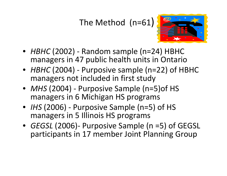### The Method (n=61)



- *HBHC* (2002) ‐ Random sample (n=24) HBHC managers in 47 public health units in Ontario
- *HBHC* (2004) ‐ Purposive sample (n=22) of HBHC managers not included in first study
- *MHS* (2004) ‐ Purposive Sample (n=5)of HS managers in 6 Michigan HS programs
- *IHS* (2006) ‐ Purposive Sample (n=5) of HS managers in 5 Illinois HS programs
- *GEGSL* (2006)‐ Purposive Sample (n =5) of GEGSL participants in 17 member Joint Planning Group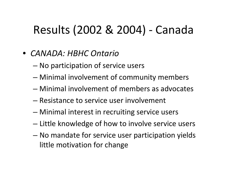# Results (2002 & 2004) ‐ Canada

- *CANADA: HBHC Ontario*
	- No participation of service users
	- Minimal involvement of community members
	- Minimal involvement of members as advocates
	- Resistance to service user involvement
	- Minimal interest in recruiting service users
	- Little knowledge of how to involve service users
	- No mandate for service user participation yields little motivation for change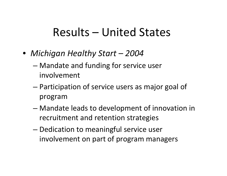## Results – United States

- *Michigan Healthy Start – 2004*
	- Mandate and funding for service user involvement
	- Participation of service users as major goal of program
	- Mandate leads to development of innovation in recruitment and retention strategies
	- Dedication to meaningful service user involvement on part of program managers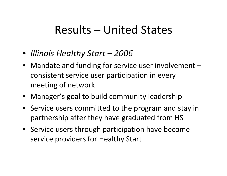## Results – United States

- *Illinois Healthy Start – 2006*
- Mandate and funding for service user involvement consistent service user participation in every meeting of network
- Manager's goal to build community leadership
- Service users committed to the program and stay in partnership after they have graduated from HS
- Service users through participation have become service providers for Healthy Start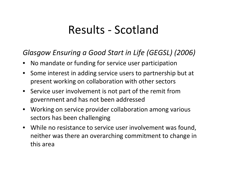## Results ‐ Scotland

#### *Glasgow Ensuring <sup>a</sup> Good Start in Life (GEGSL) (2006)*

- No mandate or funding for service user participation
- Some interest in adding service users to partnership but at present working on collaboration with other sectors
- Service user involvement is not part of the remit from government and has not been addressed
- Working on service provider collaboration among various sectors has been challenging
- While no resistance to service user involvement was found, neither was there an overarching commitment to change in this area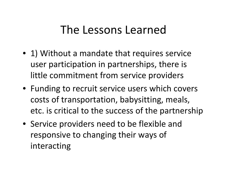- 1) Without a mandate that requires service user participation in partnerships, there is little commitment from service providers
- Funding to recruit service users which covers costs of transportation, babysitting, meals, etc. is critical to the success of the partnership
- Service providers need to be flexible and responsive to changing their ways of interacting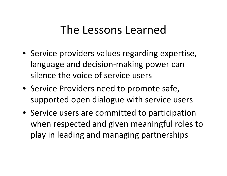- Service providers values regarding expertise, language and decision‐making power can silence the voice of service users
- Service Providers need to promote safe, supported open dialogue with service users
- Service users are committed to participation when respected and given meaningful roles to play in leading and managing partnerships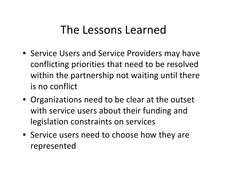- Service Users and Service Providers may have conflicting priorities that need to be resolved within the partnership not waiting until there is no conflict
- Organizations need to be clear at the outset with service users about their funding and legislation constraints on services
- Service users need to choose how they are represented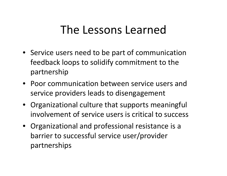- Service users need to be part of communication feedback loops to solidify commitment to the partnership
- Poor communication between service users and service providers leads to disengagement
- Organizational culture that supports meaningful involvement of service users is critical to success
- Organizational and professional resistance is <sup>a</sup> barrier to successful service user/provider partnerships